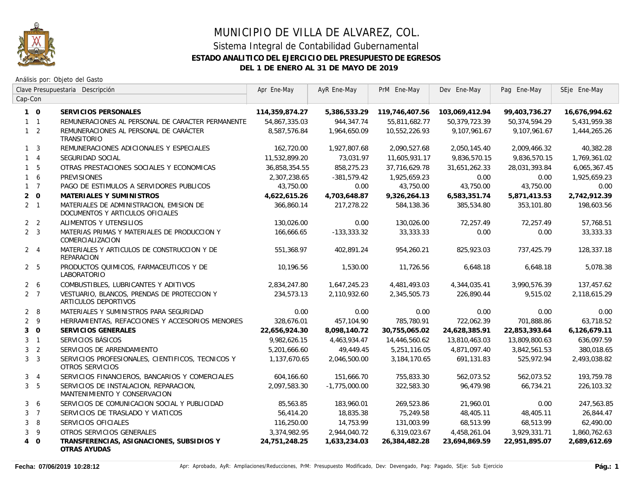

## MUNICIPIO DE VILLA DE ALVAREZ, COL. Sistema Integral de Contabilidad Gubernamental **ESTADO ANALITICO DEL EJERCICIO DEL PRESUPUESTO DE EGRESOS DEL 1 DE ENERO AL 31 DE MAYO DE 2019**

Análisis por: Objeto del Gasto

| Clave Presupuestaria Descripción<br>Cap-Con |                                                                              | Apr Ene-May   | AyR Ene-May     | PrM Ene-May   | Dev Ene-May   | Pag Ene-May   | SEje Ene-May |
|---------------------------------------------|------------------------------------------------------------------------------|---------------|-----------------|---------------|---------------|---------------|--------------|
|                                             |                                                                              |               |                 |               |               |               |              |
| $1 \quad 1$                                 | REMUNERACIONES AL PERSONAL DE CARACTER PERMANENTE                            | 54,867,335.03 | 944,347.74      | 55,811,682.77 | 50,379,723.39 | 50,374,594.29 | 5,431,959.38 |
| $1\quad 2$                                  | REMUNERACIONES AL PERSONAL DE CARÁCTER<br><b>TRANSITORIO</b>                 | 8,587,576.84  | 1,964,650.09    | 10,552,226.93 | 9,107,961.67  | 9,107,961.67  | 1,444,265.26 |
| 3<br>$\mathbf{1}$                           | REMUNERACIONES ADICIONALES Y ESPECIALES                                      | 162,720.00    | 1,927,807.68    | 2,090,527.68  | 2,050,145.40  | 2,009,466.32  | 40,382.28    |
| $\overline{4}$                              | SEGURIDAD SOCIAL                                                             | 11,532,899.20 | 73,031.97       | 11,605,931.17 | 9,836,570.15  | 9,836,570.15  | 1,769,361.02 |
| 5                                           | OTRAS PRESTACIONES SOCIALES Y ECONOMICAS                                     | 36,858,354.55 | 858,275.23      | 37,716,629.78 | 31,651,262.33 | 28,031,393.84 | 6,065,367.45 |
| 6                                           | <b>PREVISIONES</b>                                                           | 2,307,238.65  | $-381,579.42$   | 1,925,659.23  | 0.00          | 0.00          | 1,925,659.23 |
| $\overline{7}$<br>$\mathbf{1}$              | PAGO DE ESTIMULOS A SERVIDORES PUBLICOS                                      | 43,750.00     | 0.00            | 43,750.00     | 43,750.00     | 43,750.00     | 0.00         |
| $\mathsf O$<br>$\overline{2}$               | MATERIALES Y SUMINISTROS                                                     | 4,622,615.26  | 4,703,648.87    | 9,326,264.13  | 6,583,351.74  | 5,871,413.53  | 2,742,912.39 |
| 2 <sub>1</sub>                              | MATERIALES DE ADMINISTRACION, EMISION DE<br>DOCUMENTOS Y ARTICULOS OFICIALES | 366,860.14    | 217,278.22      | 584,138.36    | 385,534.80    | 353,101.80    | 198,603.56   |
| 2 <sub>2</sub>                              | ALIMENTOS Y UTENSILIOS                                                       | 130,026.00    | 0.00            | 130,026.00    | 72,257.49     | 72,257.49     | 57,768.51    |
| $2 \quad 3$                                 | MATERIAS PRIMAS Y MATERIALES DE PRODUCCION Y<br>COMERCIALIZACION             | 166,666.65    | $-133,333.32$   | 33,333.33     | 0.00          | 0.00          | 33,333.33    |
| $2 \quad 4$                                 | MATERIALES Y ARTICULOS DE CONSTRUCCION Y DE<br>REPARACION                    | 551,368.97    | 402,891.24      | 954,260.21    | 825,923.03    | 737,425.79    | 128,337.18   |
| 2 <sub>5</sub>                              | PRODUCTOS QUIMICOS, FARMACEUTICOS Y DE<br>LABORATORIO                        | 10,196.56     | 1,530.00        | 11,726.56     | 6,648.18      | 6,648.18      | 5,078.38     |
| $2^{\circ}$<br>6                            | COMBUSTIBLES, LUBRICANTES Y ADITIVOS                                         | 2,834,247.80  | 1,647,245.23    | 4,481,493.03  | 4,344,035.41  | 3,990,576.39  | 137,457.62   |
| $2 \overline{7}$                            | VESTUARIO, BLANCOS, PRENDAS DE PROTECCION Y<br>ARTICULOS DEPORTIVOS          | 234,573.13    | 2,110,932.60    | 2,345,505.73  | 226,890.44    | 9,515.02      | 2,118,615.29 |
| 8<br>$\overline{2}$                         | MATERIALES Y SUMINISTROS PARA SEGURIDAD                                      | 0.00          | 0.00            | 0.00          | 0.00          | 0.00          | 0.00         |
| $\overline{2}$<br>$\,9$                     | HERRAMIENTAS, REFACCIONES Y ACCESORIOS MENORES                               | 328,676.01    | 457,104.90      | 785,780.91    | 722,062.39    | 701,888.86    | 63,718.52    |
| $\mathsf O$<br>3                            | SERVICIOS GENERALES                                                          | 22,656,924.30 | 8,098,140.72    | 30,755,065.02 | 24,628,385.91 | 22,853,393.64 | 6,126,679.11 |
| 3<br>$\overline{1}$                         | SERVICIOS BÁSICOS                                                            | 9,982,626.15  | 4,463,934.47    | 14,446,560.62 | 13,810,463.03 | 13,809,800.63 | 636,097.59   |
| $\overline{2}$<br>3                         | SERVICIOS DE ARRENDAMIENTO                                                   | 5,201,666.60  | 49,449.45       | 5,251,116.05  | 4,871,097.40  | 3,842,561.53  | 380,018.65   |
| 3<br>3 <sup>1</sup>                         | SERVICIOS PROFESIONALES, CIENTIFICOS, TECNICOS Y<br>OTROS SERVICIOS          | 1,137,670.65  | 2,046,500.00    | 3,184,170.65  | 691,131.83    | 525,972.94    | 2,493,038.82 |
| $\overline{4}$<br>3                         | SERVICIOS FINANCIEROS, BANCARIOS Y COMERCIALES                               | 604,166.60    | 151,666.70      | 755,833.30    | 562,073.52    | 562,073.52    | 193,759.78   |
| 5<br>$\mathbf{3}$                           | SERVICIOS DE INSTALACION, REPARACION,<br>MANTENIMIENTO Y CONSERVACION        | 2,097,583.30  | $-1,775,000.00$ | 322,583.30    | 96,479.98     | 66,734.21     | 226,103.32   |
| 6<br>3                                      | SERVICIOS DE COMUNICACION SOCIAL Y PUBLICIDAD                                | 85,563.85     | 183,960.01      | 269,523.86    | 21,960.01     | 0.00          | 247,563.85   |
| $\mathbf{3}$<br>$\overline{7}$              | SERVICIOS DE TRASLADO Y VIATICOS                                             | 56,414.20     | 18,835.38       | 75,249.58     | 48,405.11     | 48,405.11     | 26,844.47    |
| 8<br>3                                      | SERVICIOS OFICIALES                                                          | 116,250.00    | 14,753.99       | 131,003.99    | 68,513.99     | 68,513.99     | 62,490.00    |
| 9<br>3                                      | OTROS SERVICIOS GENERALES                                                    | 3,374,982.95  | 2,944,040.72    | 6,319,023.67  | 4,458,261.04  | 3,929,331.71  | 1,860,762.63 |
| $\mathbf 0$<br>$\overline{4}$               | TRANSFERENCIAS, ASIGNACIONES, SUBSIDIOS Y<br>OTRAS AYUDAS                    | 24,751,248.25 | 1,633,234.03    | 26,384,482.28 | 23,694,869.59 | 22,951,895.07 | 2,689,612.69 |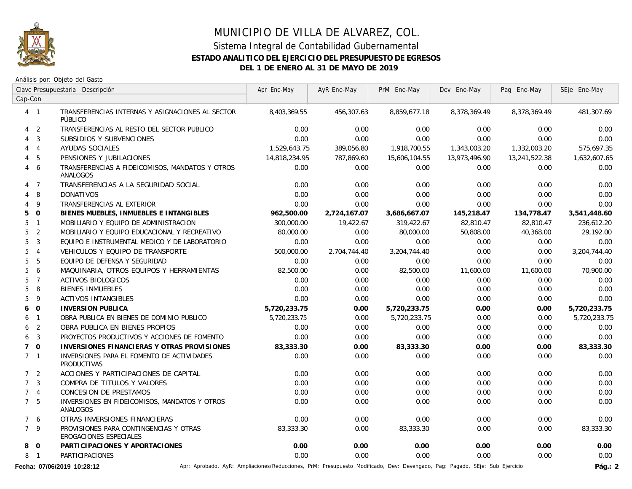

## MUNICIPIO DE VILLA DE ALVAREZ, COL. Sistema Integral de Contabilidad Gubernamental **ESTADO ANALITICO DEL EJERCICIO DEL PRESUPUESTO DE EGRESOS DEL 1 DE ENERO AL 31 DE MAYO DE 2019**

Análisis por: Objeto del Gasto

|                | Clave Presupuestaria Descripción<br>Cap-Con |                                                                  | Apr Ene-May   | AyR Ene-May  | PrM Ene-May   | Dev Ene-May   | Pag Ene-May   | SEje Ene-May |
|----------------|---------------------------------------------|------------------------------------------------------------------|---------------|--------------|---------------|---------------|---------------|--------------|
|                |                                             |                                                                  |               |              |               |               |               |              |
|                | $4 \quad 1$                                 | TRANSFERENCIAS INTERNAS Y ASIGNACIONES AL SECTOR<br>PÚBLICO      | 8,403,369.55  | 456,307.63   | 8,859,677.18  | 8,378,369.49  | 8,378,369.49  | 481,307.69   |
|                | 4 <sub>2</sub>                              | TRANSFERENCIAS AL RESTO DEL SECTOR PUBLICO                       | 0.00          | 0.00         | 0.00          | 0.00          | 0.00          | 0.00         |
|                | $4 \quad 3$                                 | SUBSIDIOS Y SUBVENCIONES                                         | 0.00          | 0.00         | 0.00          | 0.00          | 0.00          | 0.00         |
|                | $4 \quad 4$                                 | AYUDAS SOCIALES                                                  | 1,529,643.75  | 389,056.80   | 1,918,700.55  | 1,343,003.20  | 1,332,003.20  | 575,697.35   |
|                | 4 <sub>5</sub>                              | PENSIONES Y JUBILACIONES                                         | 14,818,234.95 | 787,869.60   | 15,606,104.55 | 13,973,496.90 | 13,241,522.38 | 1,632,607.65 |
|                | 4 6                                         | TRANSFERENCIAS A FIDEICOMISOS, MANDATOS Y OTROS<br>ANALOGOS      | 0.00          | 0.00         | 0.00          | 0.00          | 0.00          | 0.00         |
|                | 4 7                                         | TRANSFERENCIAS A LA SEGURIDAD SOCIAL                             | 0.00          | 0.00         | 0.00          | 0.00          | 0.00          | 0.00         |
|                | 4 8                                         | <b>DONATIVOS</b>                                                 | 0.00          | 0.00         | 0.00          | 0.00          | 0.00          | 0.00         |
|                | 49                                          | TRANSFERENCIAS AL EXTERIOR                                       | 0.00          | 0.00         | 0.00          | 0.00          | 0.00          | 0.00         |
| 50             |                                             | BIENES MUEBLES, INMUEBLES E INTANGIBLES                          | 962,500.00    | 2,724,167.07 | 3,686,667.07  | 145,218.47    | 134,778.47    | 3,541,448.60 |
|                | 5 <sub>1</sub>                              | MOBILIARIO Y EQUIPO DE ADMINISTRACION                            | 300,000.00    | 19,422.67    | 319,422.67    | 82,810.47     | 82,810.47     | 236,612.20   |
|                | 5 <sub>2</sub>                              | MOBILIARIO Y EQUIPO EDUCACIONAL Y RECREATIVO                     | 80,000.00     | 0.00         | 80,000.00     | 50,808.00     | 40,368.00     | 29,192.00    |
|                | 5 <sup>3</sup>                              | EQUIPO E INSTRUMENTAL MEDICO Y DE LABORATORIO                    | 0.00          | 0.00         | 0.00          | 0.00          | 0.00          | 0.00         |
|                | 5 <sub>4</sub>                              | VEHICULOS Y EQUIPO DE TRANSPORTE                                 | 500,000.00    | 2,704,744.40 | 3,204,744.40  | 0.00          | 0.00          | 3,204,744.40 |
|                | 5 <sub>5</sub>                              | EQUIPO DE DEFENSA Y SEGURIDAD                                    | 0.00          | 0.00         | 0.00          | 0.00          | 0.00          | 0.00         |
|                | 56                                          | MAQUINARIA, OTROS EQUIPOS Y HERRAMIENTAS                         | 82,500.00     | 0.00         | 82,500.00     | 11,600.00     | 11,600.00     | 70,900.00    |
|                | 5 <sub>7</sub>                              | <b>ACTIVOS BIOLOGICOS</b>                                        | 0.00          | 0.00         | 0.00          | 0.00          | 0.00          | 0.00         |
|                | 58                                          | <b>BIENES INMUEBLES</b>                                          | 0.00          | 0.00         | 0.00          | 0.00          | 0.00          | 0.00         |
|                | 5 <sup>9</sup>                              | <b>ACTIVOS INTANGIBLES</b>                                       | 0.00          | 0.00         | 0.00          | 0.00          | 0.00          | 0.00         |
| 6 0            |                                             | <b>INVERSION PUBLICA</b>                                         | 5,720,233.75  | 0.00         | 5,720,233.75  | 0.00          | 0.00          | 5,720,233.75 |
|                | 6 <sub>1</sub>                              | OBRA PUBLICA EN BIENES DE DOMINIO PUBLICO                        | 5,720,233.75  | 0.00         | 5,720,233.75  | 0.00          | 0.00          | 5,720,233.75 |
|                | 6 <sub>2</sub>                              | OBRA PUBLICA EN BIENES PROPIOS                                   | 0.00          | 0.00         | 0.00          | 0.00          | 0.00          | 0.00         |
| 6              | $\overline{3}$                              | PROYECTOS PRODUCTIVOS Y ACCIONES DE FOMENTO                      | 0.00          | 0.00         | 0.00          | 0.00          | 0.00          | 0.00         |
| 70             |                                             | INVERSIONES FINANCIERAS Y OTRAS PROVISIONES                      | 83,333.30     | 0.00         | 83,333.30     | 0.00          | 0.00          | 83,333.30    |
| 7 <sub>1</sub> |                                             | INVERSIONES PARA EL FOMENTO DE ACTIVIDADES<br><b>PRODUCTIVAS</b> | 0.00          | 0.00         | 0.00          | 0.00          | 0.00          | 0.00         |
|                | 7 <sub>2</sub>                              | ACCIONES Y PARTICIPACIONES DE CAPITAL                            | 0.00          | 0.00         | 0.00          | 0.00          | 0.00          | 0.00         |
| 7 <sup>3</sup> |                                             | COMPRA DE TITULOS Y VALORES                                      | 0.00          | 0.00         | 0.00          | 0.00          | 0.00          | 0.00         |
| 7 <sub>4</sub> |                                             | CONCESION DE PRESTAMOS                                           | 0.00          | 0.00         | 0.00          | 0.00          | 0.00          | 0.00         |
| 7 <sub>5</sub> |                                             | INVERSIONES EN FIDEICOMISOS, MANDATOS Y OTROS<br>ANALOGOS        | 0.00          | 0.00         | 0.00          | 0.00          | 0.00          | 0.00         |
|                | 76                                          | OTRAS INVERSIONES FINANCIERAS                                    | 0.00          | 0.00         | 0.00          | 0.00          | 0.00          | 0.00         |
|                | 7 <sup>9</sup>                              | PROVISIONES PARA CONTINGENCIAS Y OTRAS<br>EROGACIONES ESPECIALES | 83,333,30     | 0.00         | 83,333.30     | 0.00          | 0.00          | 83,333.30    |
|                | 8 0                                         | PARTICIPACIONES Y APORTACIONES                                   | 0.00          | 0.00         | 0.00          | 0.00          | 0.00          | 0.00         |
|                | 8 1                                         | <b>PARTICIPACIONES</b>                                           | 0.00          | 0.00         | 0.00          | 0.00          | 0.00          | 0.00         |

Fecha: 07/06/2019 10:28:12 **Aprice Act Ampliaciones/Reducciones, PrM:** Presupuesto Modificado, Dev: Devengado, Pag: Pagado, SEje: Sub Ejercicio Pág.: 2<br>Pág.: 2